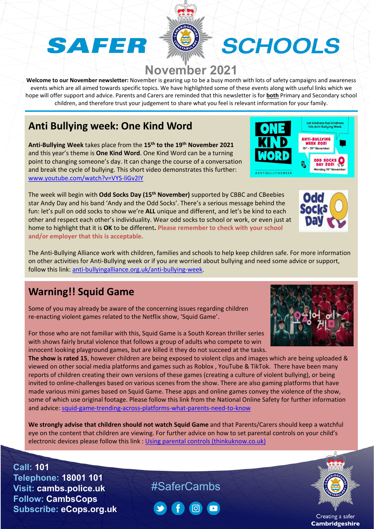### SAFER

## SCHOOLS

#### **November 2021**

**Welcome to our November newsletter:** November is gearing up to be a busy month with lots of safety campaigns and awareness events which are all aimed towards specific topics. We have highlighted some of these events along with useful links which we hope will offer support and advice. Parents and Carers are reminded that this newsletter is for **both** Primary and Secondary school children, and therefore trust your judgement to share what you feel is relevant information for your family.

#### **Anti Bullying week: One Kind Word**

**Anti-Bullying Week** takes place from the **15th to the 19th November 2021** and this year's theme is **One Kind Word**. One Kind Word can be a turning point to changing someone's day. It can change the course of a conversation and break the cycle of bullying. This short video demonstrates this further: [www.youtube.com/watch?v=VYS-liGv2IY](http://www.youtube.com/watch?v=VYS-liGv2IY)

The week will begin with **Odd Socks Day (15th November)** supported by CBBC and CBeebies star Andy Day and his band 'Andy and the Odd Socks'. There's a serious message behind the fun: let's pull on odd socks to show we're **ALL** unique and different, and let's be kind to each other and respect each other's individuality. Wear odd socks to school or work, or even just at home to highlight that it is **OK** to be different**. Please remember to check with your school and/or employer that this is acceptable.**

The Anti-Bullying Alliance work with children, families and schools to help keep children safe. For more information on other activities for Anti-Bullying week or if you are worried about bullying and need some advice or support, follow this link: [anti-bullyingalliance.org.uk/anti-bullying-week.](https://www.anti-bullyingalliance.org.uk/anti-bullying-week?_ga=2.148254517.346457017.1634209160-1898633023.1634209160)

#### **Warning!! Squid Game**

Some of you may already be aware of the concerning issues regarding children re-enacting violent games related to the Netflix show, 'Squid Game'.

For those who are not familiar with this, Squid Game is a South Korean thriller series with shows fairly brutal violence that follows a group of adults who compete to win innocent looking playground games, but are killed it they do not succeed at the tasks.

**The show is rated 15**, however children are being exposed to violent clips and images which are being uploaded & viewed on other social media platforms and games such as Roblox , YouTube & TikTok. There have been many reports of children creating their own versions of these games (creating a culture of violent bullying), or being invited to online-challenges based on various scenes from the show. There are also gaming platforms that have made various mini games based on Squid Game. These apps and online games convey the violence of the show, some of which use original footage. Please follow this link from the National Online Safety for further information and advice: [squid-game-trending-across-platforms-what-parents-need-to-know](https://gbr01.safelinks.protection.outlook.com/?url=https%3A%2F%2Fnationalonlinesafety.com%2Fwakeupwednesday%2Fsquid-game-trending-across-platforms-what-parents-need-to-know&data=04%7C01%7Cclare.list%40cambs.police.uk%7Cce14314c58994d4666fd08d98e5a46ee%7Ca3c59d1bb8f142999d6a39ad8f570422%7C0%7C0%7C637697340670761826%7CUnknown%7CTWFpbGZsb3d8eyJWIjoiMC4wLjAwMDAiLCJQIjoiV2luMzIiLCJBTiI6Ik1haWwiLCJXVCI6Mn0%3D%7C1000&sdata=bcotipmlq5lxeXhnAm4kykryf9IcDzJnyQQoJP6Gx4A%3D&reserved=0)

**We strongly advise that children should not watch Squid Game** and that Parents/Carers should keep a watchful eye on the content that children are viewing. For further advice on how to set parental controls on your child's electronic devices please follow this link : [Using parental controls \(thinkuknow.co.uk\)](https://www.thinkuknow.co.uk/parents/articles/Parental-controls/)

**Call: 101 Telephone: 18001 101 Visit: cambs.police.uk Follow: CambsCops Subscribe: eCops.org.uk**

#### #SaferCambs





**Odd Sock!** 







Creating a safer **Cambridgeshire**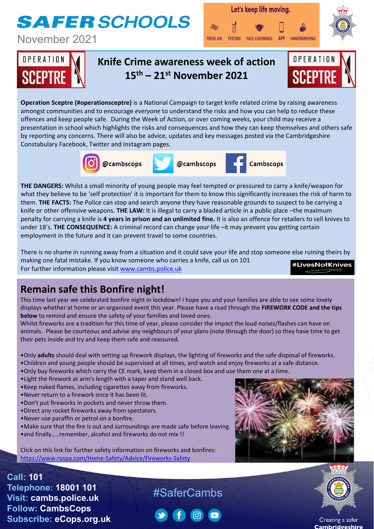### **SAFER SCHOOLS**

November 2021







#### **Knife Crime awareness week of action 15th – 21st November 2021**



**Operation Sceptre (#operationsceptre)** is a National Campaign to target knife related crime by raising awareness amongst communities and to encourage *everyone* to understand the risks and how you can help to reduce these offences and keep people safe. During the Week of Action, or over coming weeks, your child may receive a presentation in school which highlights the risks and consequences and how they can keep themselves and others safe by reporting any concerns. There will also be advice, updates and key messages posted via the Cambridgeshire Constabulary Facebook, Twitter and Instagram pages.



**THE DANGERS:** Whilst a small minority of young people may feel tempted or pressured to carry a knife/weapon for what they believe to be 'self protection' it is important for them to know this significantly increases the risk of harm to them. **THE FACTS:** The Police can stop and search anyone they have reasonable grounds to suspect to be carrying a knife or other offensive weapons. **THE LAW:** It is illegal to carry a bladed article in a public place –the maximum penalty for carrying a knife is **4 years in prison and an unlimited fine.** It is also an offence for retailers to sell knives to under 18's. **THE CONSEQUENCE:** A criminal record can change your life –it may prevent you getting certain employment in the future and it can prevent travel to some countries.

There is no shame in running away from a situation and it could save your life and stop someone else ruining theirs by making one fatal mistake. If you know someone who carries a knife, call us on 101 **#LivesNotKnives** For further information please visit [www.cambs.police.uk](http://www.cambs.police.uk/)

#### **Remain safe this Bonfire night!**

This time last year we celebrated bonfire night in lockdown! I hope you and your families are able to see some lovely displays whether at home or an organised event this year. Please have a read through the **FIREWORK CODE and the tips below** to remind and ensure the safety of your families and loved ones.

Whilst fireworks are a tradition for this time of year, please consider the impact the loud noises/flashes can have on animals. Please be courteous and advise any neighbours of your plans (note through the door) so they have time to get their pets inside and try and keep them safe and reassured.

•Only **adults** should deal with setting up firework displays, the lighting of fireworks and the safe disposal of fireworks.

#SaferCambs

- •Children and young people should be supervised at all times, and watch and enjoy fireworks at a safe distance.
- •Only buy fireworks which carry the CE mark, keep them in a closed box and use them one at a time.
- •Light the firework at arm's length with a taper and stand well back.
- •Keep naked flames, including cigarettes away from fireworks.
- •Never return to a firework once it has been lit.
- •Don't put fireworks in pockets and never throw them.
- •Direct any rocket fireworks away from spectators.
- •Never use paraffin or petrol on a bonfire.

**Call: 101**

**Telephone: 18001 101 Visit: cambs.police.uk Follow: CambsCops**

**Subscribe: eCops.org.uk**

- •Make sure that the fire is out and surroundings are made safe before leaving.
- •and finally…..remember, alcohol and fireworks do not mix !!

Click on this link for further safety information on fireworks and bonfires: <https://www.rospa.com/Home-Safety/Advice/Fireworks-Safety>





Creating a safer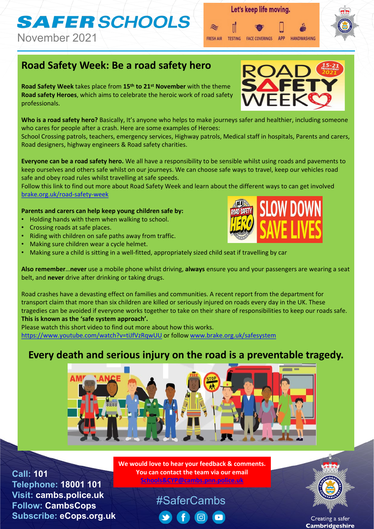# **SAFER SCHOOLS**

November 2021

#### **Road Safety Week: Be a road safety hero**

**Road Safety Week** takes place from **15th to 21st November** with the theme **Road safety Heroes**, which aims to celebrate the heroic work of road safety professionals.

**Who is a road safety hero?** Basically, It's anyone who helps to make journeys safer and healthier, including someone who cares for people after a crash. Here are some examples of Heroes:

School Crossing patrols, teachers, emergency services, Highway patrols, Medical staff in hospitals, Parents and carers, Road designers, highway engineers & Road safety charities.

**Everyone can be a road safety hero.** We all have a responsibility to be sensible whilst using roads and pavements to keep ourselves and others safe whilst on our journeys. We can choose safe ways to travel, keep our vehicles road safe and obey road rules whilst travelling at safe speeds.

Follow this link to find out more about Road Safety Week and learn about the different ways to can get involved [brake.org.uk/road-safety-week](https://gbr01.safelinks.protection.outlook.com/?url=https%3A%2F%2Fwww.brake.org.uk%2Froad-safety-week&data=04%7C01%7CKaren.parsons%40cambs.police.uk%7C2d0c9f2465d14b746aa008d99626e0d8%7Ca3c59d1bb8f142999d6a39ad8f570422%7C0%7C0%7C637705916588226802%7CUnknown%7CTWFpbGZsb3d8eyJWIjoiMC4wLjAwMDAiLCJQIjoiV2luMzIiLCJBTiI6Ik1haWwiLCJXVCI6Mn0%3D%7C1000&sdata=dF8PFJONTc5j0xC15my7gaLd%2BD5Wl8LEId8vncc%2B8JU%3D&reserved=0)

#### **Parents and carers can help keep young children safe by:**

- Holding hands with them when walking to school.
- Crossing roads at safe places.

**Call: 101**

**Telephone: 18001 101 Visit: cambs.police.uk Follow: CambsCops**

**Subscribe: eCops.org.uk**

- Riding with children on safe paths away from traffic.
- Making sure children wear a cycle helmet.
- Making sure a child is sitting in a well-fitted, appropriately sized child seat if travelling by car

**Also remember**…**never** use a mobile phone whilst driving, **always** ensure you and your passengers are wearing a seat belt, and **never** drive after drinking or taking drugs.

Road crashes have a devasting effect on families and communities. A recent report from the department for transport claim that more than six children are killed or seriously injured on roads every day in the UK. These tragedies can be avoided if everyone works together to take on their share of responsibilities to keep our roads safe. **This is known as the 'safe system approach'.** 

Please watch this short video to find out more about how this works.

<https://www.youtube.com/watch?v=tiJfVzRqwUU> or follow [www.brake.org.uk/safesystem](http://www.brake.org.uk/safesystem)

#### **Every death and serious injury on the road is a preventable tragedy.**



#### #SaferCambs (o)





**APP** 

**HANDWASHING** 

Let's keep life moving.

FRESH AIR TESTING FACE COVERINGS